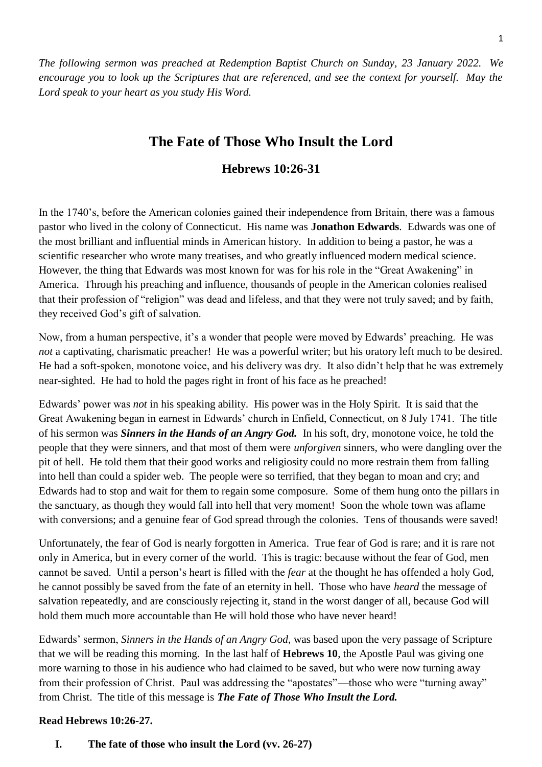*The following sermon was preached at Redemption Baptist Church on Sunday, 23 January 2022. We encourage you to look up the Scriptures that are referenced, and see the context for yourself. May the Lord speak to your heart as you study His Word.* 

# **The Fate of Those Who Insult the Lord**

# **Hebrews 10:26-31**

In the 1740's, before the American colonies gained their independence from Britain, there was a famous pastor who lived in the colony of Connecticut. His name was **Jonathon Edwards**. Edwards was one of the most brilliant and influential minds in American history. In addition to being a pastor, he was a scientific researcher who wrote many treatises, and who greatly influenced modern medical science. However, the thing that Edwards was most known for was for his role in the "Great Awakening" in America. Through his preaching and influence, thousands of people in the American colonies realised that their profession of "religion" was dead and lifeless, and that they were not truly saved; and by faith, they received God's gift of salvation.

Now, from a human perspective, it's a wonder that people were moved by Edwards' preaching. He was *not* a captivating, charismatic preacher! He was a powerful writer; but his oratory left much to be desired. He had a soft-spoken, monotone voice, and his delivery was dry. It also didn't help that he was extremely near-sighted. He had to hold the pages right in front of his face as he preached!

Edwards' power was *not* in his speaking ability. His power was in the Holy Spirit. It is said that the Great Awakening began in earnest in Edwards' church in Enfield, Connecticut, on 8 July 1741. The title of his sermon was *Sinners in the Hands of an Angry God.* In his soft, dry, monotone voice, he told the people that they were sinners, and that most of them were *unforgiven* sinners, who were dangling over the pit of hell. He told them that their good works and religiosity could no more restrain them from falling into hell than could a spider web. The people were so terrified, that they began to moan and cry; and Edwards had to stop and wait for them to regain some composure. Some of them hung onto the pillars in the sanctuary, as though they would fall into hell that very moment! Soon the whole town was aflame with conversions; and a genuine fear of God spread through the colonies. Tens of thousands were saved!

Unfortunately, the fear of God is nearly forgotten in America. True fear of God is rare; and it is rare not only in America, but in every corner of the world. This is tragic: because without the fear of God, men cannot be saved. Until a person's heart is filled with the *fear* at the thought he has offended a holy God, he cannot possibly be saved from the fate of an eternity in hell. Those who have *heard* the message of salvation repeatedly, and are consciously rejecting it, stand in the worst danger of all, because God will hold them much more accountable than He will hold those who have never heard!

Edwards' sermon, *Sinners in the Hands of an Angry God,* was based upon the very passage of Scripture that we will be reading this morning. In the last half of **Hebrews 10**, the Apostle Paul was giving one more warning to those in his audience who had claimed to be saved, but who were now turning away from their profession of Christ. Paul was addressing the "apostates"—those who were "turning away" from Christ. The title of this message is *The Fate of Those Who Insult the Lord.*

#### **Read Hebrews 10:26-27.**

**I. The fate of those who insult the Lord (vv. 26-27)**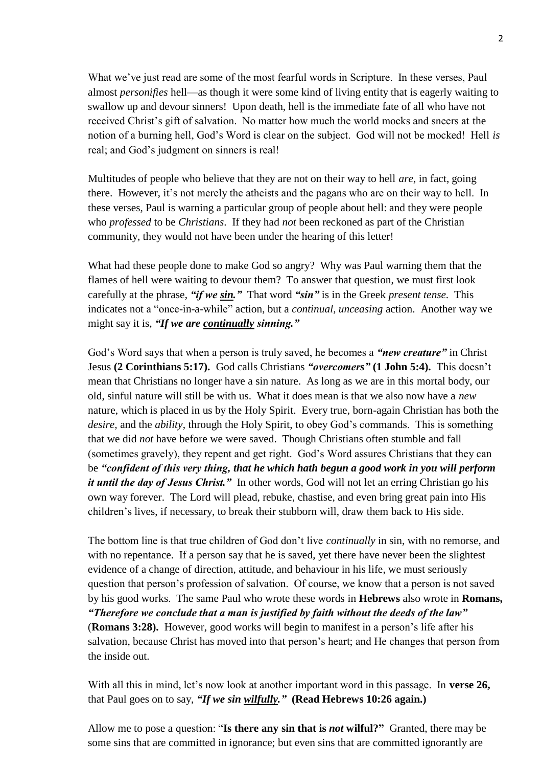What we've just read are some of the most fearful words in Scripture. In these verses, Paul almost *personifies* hell—as though it were some kind of living entity that is eagerly waiting to swallow up and devour sinners! Upon death, hell is the immediate fate of all who have not received Christ's gift of salvation. No matter how much the world mocks and sneers at the notion of a burning hell, God's Word is clear on the subject. God will not be mocked! Hell *is* real; and God's judgment on sinners is real!

Multitudes of people who believe that they are not on their way to hell *are,* in fact, going there. However, it's not merely the atheists and the pagans who are on their way to hell. In these verses, Paul is warning a particular group of people about hell: and they were people who *professed* to be *Christians*. If they had *not* been reckoned as part of the Christian community, they would not have been under the hearing of this letter!

What had these people done to make God so angry? Why was Paul warning them that the flames of hell were waiting to devour them? To answer that question, we must first look carefully at the phrase, *"if we sin."* That word *"sin"* is in the Greek *present tense.* This indicates not a "once-in-a-while" action, but a *continual, unceasing* action. Another way we might say it is, *"If we are continually sinning."*

God's Word says that when a person is truly saved, he becomes a *"new creature"* in Christ Jesus **(2 Corinthians 5:17).** God calls Christians *"overcomers"* **(1 John 5:4).** This doesn't mean that Christians no longer have a sin nature. As long as we are in this mortal body, our old, sinful nature will still be with us. What it does mean is that we also now have a *new*  nature, which is placed in us by the Holy Spirit. Every true, born-again Christian has both the *desire,* and the *ability,* through the Holy Spirit, to obey God's commands. This is something that we did *not* have before we were saved. Though Christians often stumble and fall (sometimes gravely), they repent and get right. God's Word assures Christians that they can be *"confident of this very thing, that he which hath begun a good work in you will perform it until the day of Jesus Christ.*" In other words, God will not let an erring Christian go his own way forever. The Lord will plead, rebuke, chastise, and even bring great pain into His children's lives, if necessary, to break their stubborn will, draw them back to His side.

The bottom line is that true children of God don't live *continually* in sin, with no remorse, and with no repentance. If a person say that he is saved, yet there have never been the slightest evidence of a change of direction, attitude, and behaviour in his life, we must seriously question that person's profession of salvation. Of course, we know that a person is not saved by his good works. The same Paul who wrote these words in **Hebrews** also wrote in **Romans,**  *"Therefore we conclude that a man is justified by faith without the deeds of the law"* (**Romans 3:28).** However, good works will begin to manifest in a person's life after his salvation, because Christ has moved into that person's heart; and He changes that person from the inside out.

With all this in mind, let's now look at another important word in this passage. In **verse 26,** that Paul goes on to say, *"If we sin wilfully."* **(Read Hebrews 10:26 again.)**

Allow me to pose a question: "**Is there any sin that is** *not* **wilful?"** Granted, there may be some sins that are committed in ignorance; but even sins that are committed ignorantly are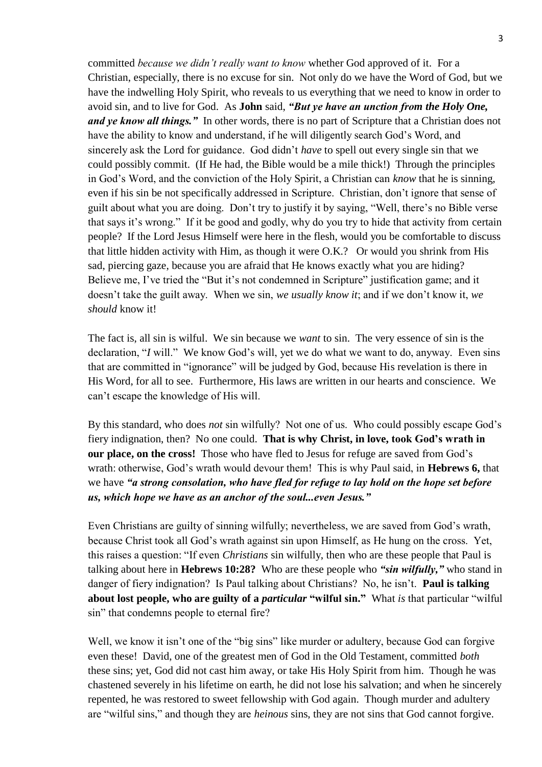committed *because we didn't really want to know* whether God approved of it. For a Christian, especially, there is no excuse for sin. Not only do we have the Word of God, but we have the indwelling Holy Spirit, who reveals to us everything that we need to know in order to avoid sin, and to live for God. As **John** said, *"But ye have an unction from the Holy One, and ye know all things.*" In other words, there is no part of Scripture that a Christian does not have the ability to know and understand, if he will diligently search God's Word, and sincerely ask the Lord for guidance. God didn't *have* to spell out every single sin that we could possibly commit. (If He had, the Bible would be a mile thick!) Through the principles in God's Word, and the conviction of the Holy Spirit, a Christian can *know* that he is sinning, even if his sin be not specifically addressed in Scripture. Christian, don't ignore that sense of guilt about what you are doing. Don't try to justify it by saying, "Well, there's no Bible verse that says it's wrong." If it be good and godly, why do you try to hide that activity from certain people? If the Lord Jesus Himself were here in the flesh, would you be comfortable to discuss that little hidden activity with Him, as though it were O.K.? Or would you shrink from His sad, piercing gaze, because you are afraid that He knows exactly what you are hiding? Believe me, I've tried the "But it's not condemned in Scripture" justification game; and it doesn't take the guilt away. When we sin, *we usually know it*; and if we don't know it, *we should* know it!

The fact is, all sin is wilful. We sin because we *want* to sin. The very essence of sin is the declaration, "*I* will." We know God's will, yet we do what we want to do, anyway. Even sins that are committed in "ignorance" will be judged by God, because His revelation is there in His Word, for all to see. Furthermore, His laws are written in our hearts and conscience. We can't escape the knowledge of His will.

By this standard, who does *not* sin wilfully? Not one of us. Who could possibly escape God's fiery indignation, then? No one could. **That is why Christ, in love, took God's wrath in our place, on the cross!** Those who have fled to Jesus for refuge are saved from God's wrath: otherwise, God's wrath would devour them! This is why Paul said, in **Hebrews 6,** that we have *"a strong consolation, who have fled for refuge to lay hold on the hope set before us, which hope we have as an anchor of the soul...even Jesus."*

Even Christians are guilty of sinning wilfully; nevertheless, we are saved from God's wrath, because Christ took all God's wrath against sin upon Himself, as He hung on the cross. Yet, this raises a question: "If even *Christians* sin wilfully, then who are these people that Paul is talking about here in **Hebrews 10:28?** Who are these people who *"sin wilfully,"* who stand in danger of fiery indignation? Is Paul talking about Christians? No, he isn't. **Paul is talking about lost people, who are guilty of a** *particular* **"wilful sin."** What *is* that particular "wilful sin" that condemns people to eternal fire?

Well, we know it isn't one of the "big sins" like murder or adultery, because God can forgive even these! David, one of the greatest men of God in the Old Testament, committed *both* these sins; yet, God did not cast him away, or take His Holy Spirit from him. Though he was chastened severely in his lifetime on earth, he did not lose his salvation; and when he sincerely repented, he was restored to sweet fellowship with God again. Though murder and adultery are "wilful sins," and though they are *heinous* sins, they are not sins that God cannot forgive.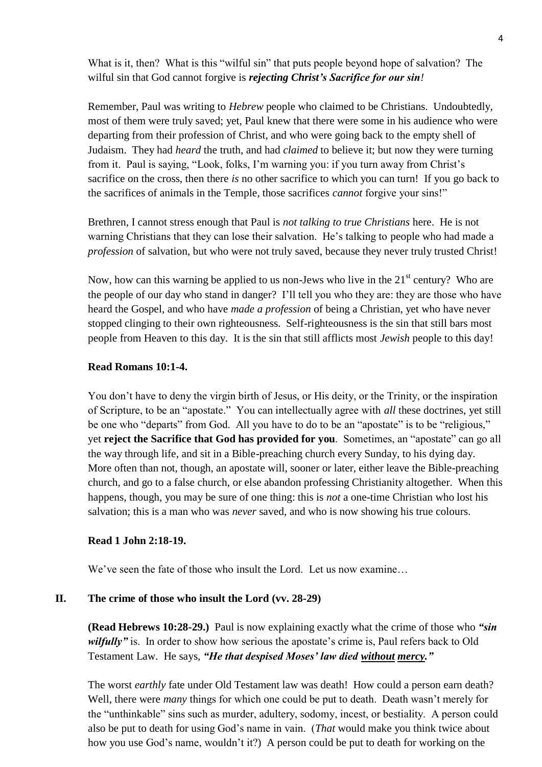What is it, then? What is this "wilful sin" that puts people beyond hope of salvation? The wilful sin that God cannot forgive is *rejecting Christ's Sacrifice for our sin!* 

Remember, Paul was writing to *Hebrew* people who claimed to be Christians. Undoubtedly, most of them were truly saved; yet, Paul knew that there were some in his audience who were departing from their profession of Christ, and who were going back to the empty shell of Judaism. They had *heard* the truth, and had *claimed* to believe it; but now they were turning from it. Paul is saying, "Look, folks, I'm warning you: if you turn away from Christ's sacrifice on the cross, then there *is* no other sacrifice to which you can turn! If you go back to the sacrifices of animals in the Temple, those sacrifices *cannot* forgive your sins!"

Brethren, I cannot stress enough that Paul is *not talking to true Christians* here. He is not warning Christians that they can lose their salvation. He's talking to people who had made a *profession* of salvation, but who were not truly saved, because they never truly trusted Christ!

Now, how can this warning be applied to us non-Jews who live in the  $21<sup>st</sup>$  century? Who are the people of our day who stand in danger? I'll tell you who they are: they are those who have heard the Gospel, and who have *made a profession* of being a Christian, yet who have never stopped clinging to their own righteousness. Self-righteousness is the sin that still bars most people from Heaven to this day. It is the sin that still afflicts most *Jewish* people to this day!

#### **Read Romans 10:1-4.**

You don't have to deny the virgin birth of Jesus, or His deity, or the Trinity, or the inspiration of Scripture, to be an "apostate." You can intellectually agree with *all* these doctrines, yet still be one who "departs" from God. All you have to do to be an "apostate" is to be "religious," yet **reject the Sacrifice that God has provided for you**. Sometimes, an "apostate" can go all the way through life, and sit in a Bible-preaching church every Sunday, to his dying day. More often than not, though, an apostate will, sooner or later, either leave the Bible-preaching church, and go to a false church, or else abandon professing Christianity altogether. When this happens, though, you may be sure of one thing: this is *not* a one-time Christian who lost his salvation; this is a man who was *never* saved, and who is now showing his true colours.

#### **Read 1 John 2:18-19.**

We've seen the fate of those who insult the Lord. Let us now examine...

#### **II. The crime of those who insult the Lord (vv. 28-29)**

**(Read Hebrews 10:28-29.)** Paul is now explaining exactly what the crime of those who *"sin wilfully*" is. In order to show how serious the apostate's crime is, Paul refers back to Old Testament Law. He says, *"He that despised Moses' law died without mercy."* 

The worst *earthly* fate under Old Testament law was death! How could a person earn death? Well, there were *many* things for which one could be put to death. Death wasn't merely for the "unthinkable" sins such as murder, adultery, sodomy, incest, or bestiality. A person could also be put to death for using God's name in vain. (*That* would make you think twice about how you use God's name, wouldn't it?) A person could be put to death for working on the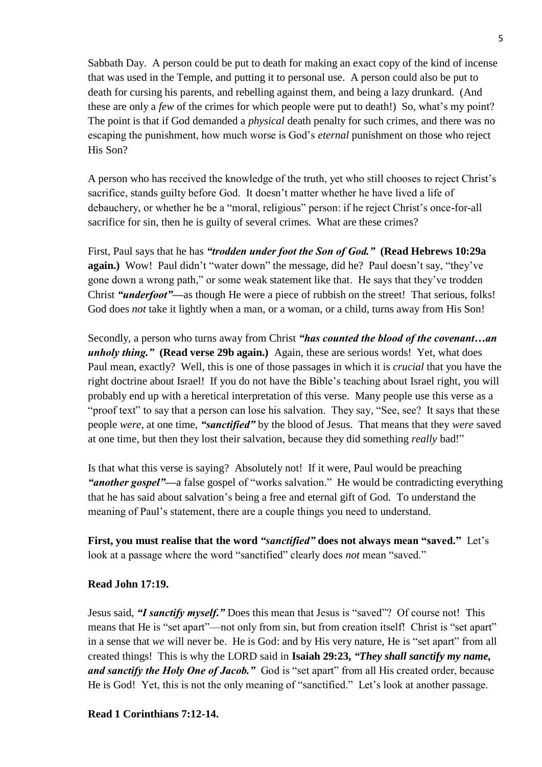Sabbath Day. A person could be put to death for making an exact copy of the kind of incense that was used in the Temple, and putting it to personal use. A person could also be put to death for cursing his parents, and rebelling against them, and being a lazy drunkard. (And these are only a *few* of the crimes for which people were put to death!) So, what's my point? The point is that if God demanded a *physical* death penalty for such crimes, and there was no escaping the punishment, how much worse is God's *eternal* punishment on those who reject His Son?

A person who has received the knowledge of the truth, yet who still chooses to reject Christ's sacrifice, stands guilty before God. It doesn't matter whether he have lived a life of debauchery, or whether he be a "moral, religious" person: if he reject Christ's once-for-all sacrifice for sin, then he is guilty of several crimes. What are these crimes?

First, Paul says that he has *"trodden under foot the Son of God."* **(Read Hebrews 10:29a again.)** Wow! Paul didn't "water down" the message, did he? Paul doesn't say, "they've gone down a wrong path," or some weak statement like that. He says that they've trodden Christ *"underfoot"—*as though He were a piece of rubbish on the street! That serious, folks! God does *not* take it lightly when a man, or a woman, or a child, turns away from His Son!

Secondly, a person who turns away from Christ *"has counted the blood of the covenant…an unholy thing."* **(Read verse 29b again.)** Again, these are serious words! Yet, what does Paul mean, exactly? Well, this is one of those passages in which it is *crucial* that you have the right doctrine about Israel! If you do not have the Bible's teaching about Israel right, you will probably end up with a heretical interpretation of this verse. Many people use this verse as a "proof text" to say that a person can lose his salvation. They say, "See, see? It says that these people *were,* at one time, *"sanctified"* by the blood of Jesus. That means that they *were* saved at one time, but then they lost their salvation, because they did something *really* bad!"

Is that what this verse is saying? Absolutely not! If it were, Paul would be preaching *"another gospel"—*a false gospel of "works salvation." He would be contradicting everything that he has said about salvation's being a free and eternal gift of God. To understand the meaning of Paul's statement, there are a couple things you need to understand.

**First, you must realise that the word** *"sanctified"* **does not always mean "saved."** Let's look at a passage where the word "sanctified" clearly does *not* mean "saved."

# **Read John 17:19.**

Jesus said, *"I sanctify myself."* Does this mean that Jesus is "saved"? Of course not! This means that He is "set apart"—not only from sin, but from creation itself! Christ is "set apart" in a sense that *we* will never be. He is God: and by His very nature, He is "set apart" from all created things! This is why the LORD said in **Isaiah 29:23,** *"They shall sanctify my name, and sanctify the Holy One of Jacob."* God is "set apart" from all His created order, because He is God! Yet, this is not the only meaning of "sanctified." Let's look at another passage.

# **Read 1 Corinthians 7:12-14.**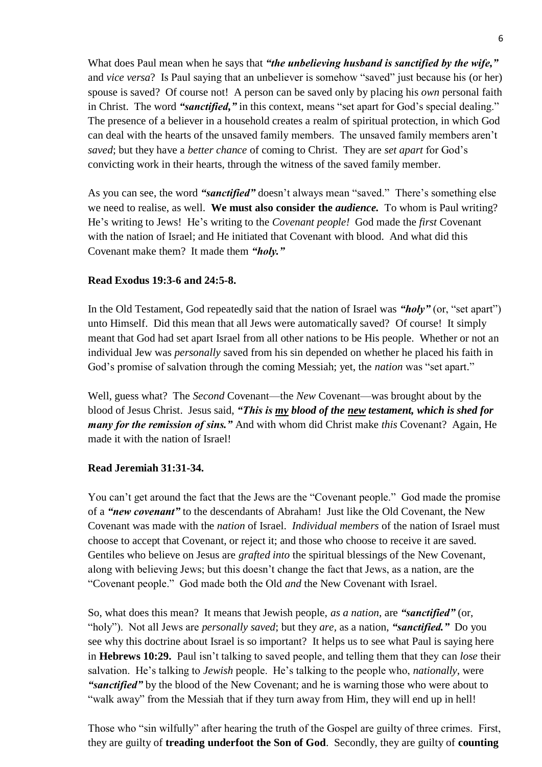What does Paul mean when he says that *"the unbelieving husband is sanctified by the wife,"*  and *vice versa*?Is Paul saying that an unbeliever is somehow "saved" just because his (or her) spouse is saved? Of course not! A person can be saved only by placing his *own* personal faith in Christ. The word *"sanctified,"* in this context, means "set apart for God's special dealing." The presence of a believer in a household creates a realm of spiritual protection, in which God can deal with the hearts of the unsaved family members. The unsaved family members aren't *saved*; but they have a *better chance* of coming to Christ. They are *set apart* for God's convicting work in their hearts, through the witness of the saved family member.

As you can see, the word *"sanctified"* doesn't always mean "saved." There's something else we need to realise, as well. **We must also consider the** *audience.* To whom is Paul writing? He's writing to Jews! He's writing to the *Covenant people!* God made the *first* Covenant with the nation of Israel; and He initiated that Covenant with blood. And what did this Covenant make them? It made them *"holy."*

# **Read Exodus 19:3-6 and 24:5-8.**

In the Old Testament, God repeatedly said that the nation of Israel was *"holy"* (or, "set apart") unto Himself. Did this mean that all Jews were automatically saved? Of course! It simply meant that God had set apart Israel from all other nations to be His people. Whether or not an individual Jew was *personally* saved from his sin depended on whether he placed his faith in God's promise of salvation through the coming Messiah; yet, the *nation* was "set apart."

Well, guess what? The *Second* Covenant—the *New* Covenant—was brought about by the blood of Jesus Christ. Jesus said, *"This is my blood of the new testament, which is shed for many for the remission of sins."* And with whom did Christ make *this* Covenant? Again, He made it with the nation of Israel!

#### **Read Jeremiah 31:31-34.**

You can't get around the fact that the Jews are the "Covenant people." God made the promise of a *"new covenant"* to the descendants of Abraham! Just like the Old Covenant, the New Covenant was made with the *nation* of Israel. *Individual members* of the nation of Israel must choose to accept that Covenant, or reject it; and those who choose to receive it are saved. Gentiles who believe on Jesus are *grafted into* the spiritual blessings of the New Covenant, along with believing Jews; but this doesn't change the fact that Jews, as a nation, are the "Covenant people." God made both the Old *and* the New Covenant with Israel.

So, what does this mean? It means that Jewish people, *as a nation*, are *"sanctified"* (or, "holy"). Not all Jews are *personally saved*; but they *are,* as a nation, *"sanctified."* Do you see why this doctrine about Israel is so important? It helps us to see what Paul is saying here in **Hebrews 10:29.** Paul isn't talking to saved people, and telling them that they can *lose* their salvation. He's talking to *Jewish* people. He's talking to the people who, *nationally*, were *"sanctified"* by the blood of the New Covenant; and he is warning those who were about to "walk away" from the Messiah that if they turn away from Him, they will end up in hell!

Those who "sin wilfully" after hearing the truth of the Gospel are guilty of three crimes. First, they are guilty of **treading underfoot the Son of God**. Secondly, they are guilty of **counting**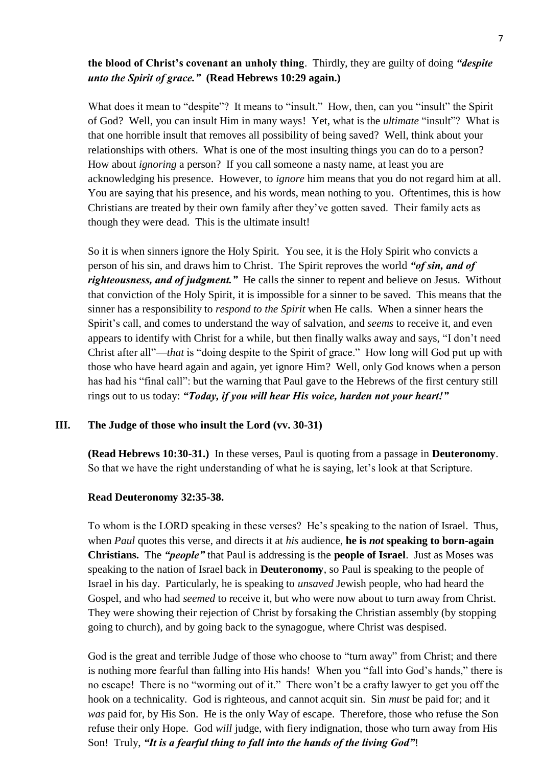### **the blood of Christ's covenant an unholy thing**. Thirdly, they are guilty of doing *"despite unto the Spirit of grace."* **(Read Hebrews 10:29 again.)**

What does it mean to "despite"? It means to "insult." How, then, can you "insult" the Spirit of God? Well, you can insult Him in many ways! Yet, what is the *ultimate* "insult"? What is that one horrible insult that removes all possibility of being saved? Well, think about your relationships with others. What is one of the most insulting things you can do to a person? How about *ignoring* a person? If you call someone a nasty name, at least you are acknowledging his presence. However, to *ignore* him means that you do not regard him at all. You are saying that his presence, and his words, mean nothing to you. Oftentimes, this is how Christians are treated by their own family after they've gotten saved. Their family acts as though they were dead. This is the ultimate insult!

So it is when sinners ignore the Holy Spirit. You see, it is the Holy Spirit who convicts a person of his sin, and draws him to Christ. The Spirit reproves the world *"of sin, and of righteousness, and of judgment.*" He calls the sinner to repent and believe on Jesus. Without that conviction of the Holy Spirit, it is impossible for a sinner to be saved. This means that the sinner has a responsibility to *respond to the Spirit* when He calls. When a sinner hears the Spirit's call, and comes to understand the way of salvation, and *seems* to receive it, and even appears to identify with Christ for a while, but then finally walks away and says, "I don't need Christ after all"—*that* is "doing despite to the Spirit of grace." How long will God put up with those who have heard again and again, yet ignore Him? Well, only God knows when a person has had his "final call": but the warning that Paul gave to the Hebrews of the first century still rings out to us today: *"Today, if you will hear His voice, harden not your heart!"*

### **III. The Judge of those who insult the Lord (vv. 30-31)**

**(Read Hebrews 10:30-31.)** In these verses, Paul is quoting from a passage in **Deuteronomy**. So that we have the right understanding of what he is saying, let's look at that Scripture.

#### **Read Deuteronomy 32:35-38.**

To whom is the LORD speaking in these verses? He's speaking to the nation of Israel. Thus, when *Paul* quotes this verse, and directs it at *his* audience, **he is** *not* **speaking to born-again Christians.** The *"people"* that Paul is addressing is the **people of Israel**. Just as Moses was speaking to the nation of Israel back in **Deuteronomy**, so Paul is speaking to the people of Israel in his day. Particularly, he is speaking to *unsaved* Jewish people, who had heard the Gospel, and who had *seemed* to receive it, but who were now about to turn away from Christ. They were showing their rejection of Christ by forsaking the Christian assembly (by stopping going to church), and by going back to the synagogue, where Christ was despised.

God is the great and terrible Judge of those who choose to "turn away" from Christ; and there is nothing more fearful than falling into His hands! When you "fall into God's hands," there is no escape! There is no "worming out of it." There won't be a crafty lawyer to get you off the hook on a technicality. God is righteous, and cannot acquit sin. Sin *must* be paid for; and it *was* paid for, by His Son. He is the only Way of escape. Therefore, those who refuse the Son refuse their only Hope. God *will* judge, with fiery indignation, those who turn away from His Son! Truly, *"It is a fearful thing to fall into the hands of the living God"*!